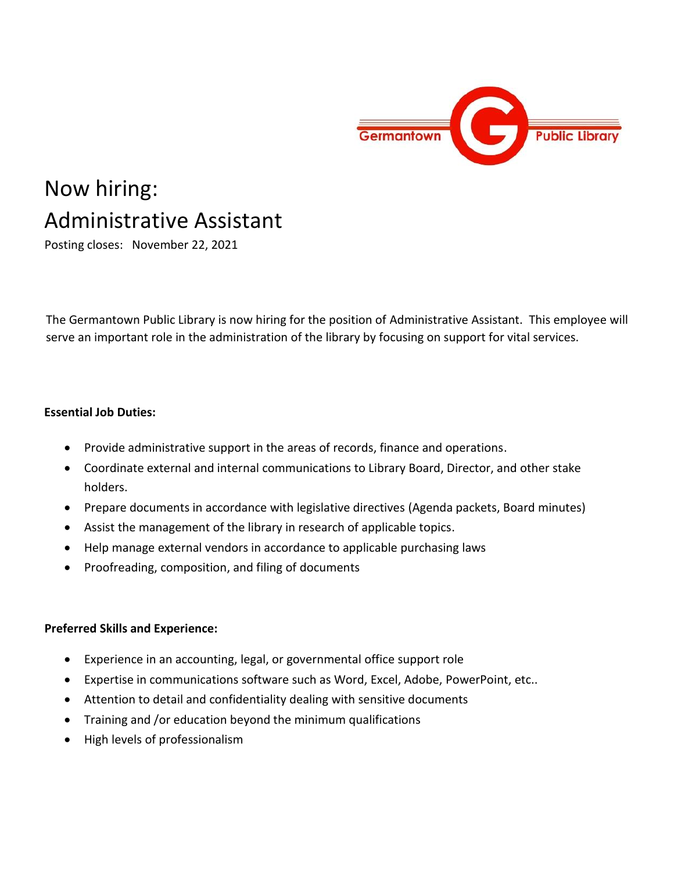

# Now hiring: Administrative Assistant

Posting closes: November 22, 2021

The Germantown Public Library is now hiring for the position of Administrative Assistant. This employee will serve an important role in the administration of the library by focusing on support for vital services.

#### **Essential Job Duties:**

- Provide administrative support in the areas of records, finance and operations.
- Coordinate external and internal communications to Library Board, Director, and other stake holders.
- Prepare documents in accordance with legislative directives (Agenda packets, Board minutes)
- Assist the management of the library in research of applicable topics.
- Help manage external vendors in accordance to applicable purchasing laws
- Proofreading, composition, and filing of documents

#### **Preferred Skills and Experience:**

- Experience in an accounting, legal, or governmental office support role
- Expertise in communications software such as Word, Excel, Adobe, PowerPoint, etc..
- Attention to detail and confidentiality dealing with sensitive documents
- Training and /or education beyond the minimum qualifications
- High levels of professionalism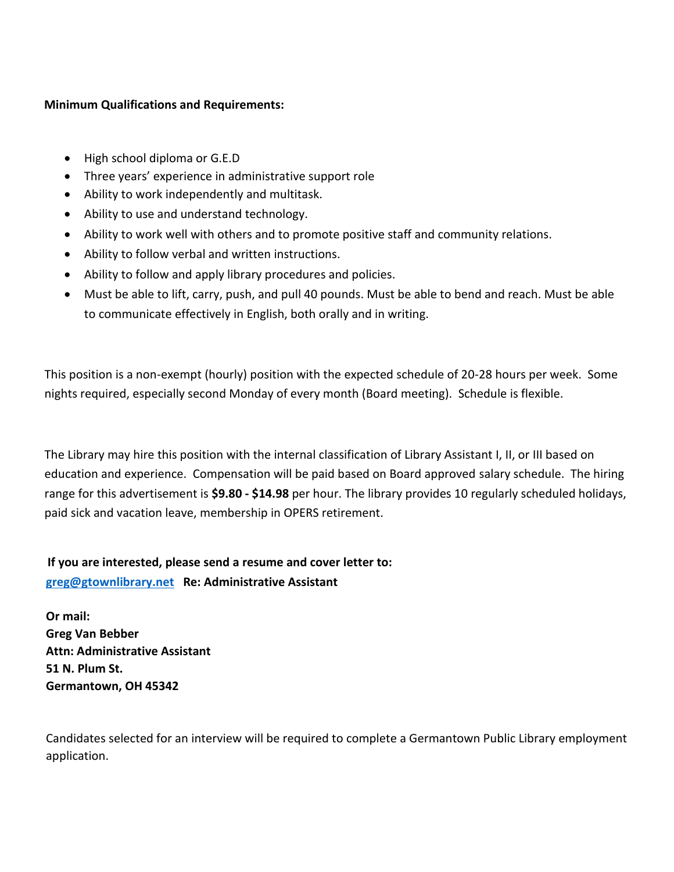#### **Minimum Qualifications and Requirements:**

- High school diploma or G.E.D
- Three years' experience in administrative support role
- Ability to work independently and multitask.
- Ability to use and understand technology.
- Ability to work well with others and to promote positive staff and community relations.
- Ability to follow verbal and written instructions.
- Ability to follow and apply library procedures and policies.
- Must be able to lift, carry, push, and pull 40 pounds. Must be able to bend and reach. Must be able to communicate effectively in English, both orally and in writing.

This position is a non-exempt (hourly) position with the expected schedule of 20-28 hours per week. Some nights required, especially second Monday of every month (Board meeting). Schedule is flexible.

The Library may hire this position with the internal classification of Library Assistant I, II, or III based on education and experience. Compensation will be paid based on Board approved salary schedule. The hiring range for this advertisement is **\$9.80 - \$14.98** per hour. The library provides 10 regularly scheduled holidays, paid sick and vacation leave, membership in OPERS retirement.

**If you are interested, please send a resume and cover letter to: [greg@gtownlibrary.net](mailto:greg@gtownlibrary.net) Re: Administrative Assistant**

**Or mail: Greg Van Bebber Attn: Administrative Assistant 51 N. Plum St. Germantown, OH 45342**

Candidates selected for an interview will be required to complete a Germantown Public Library employment application.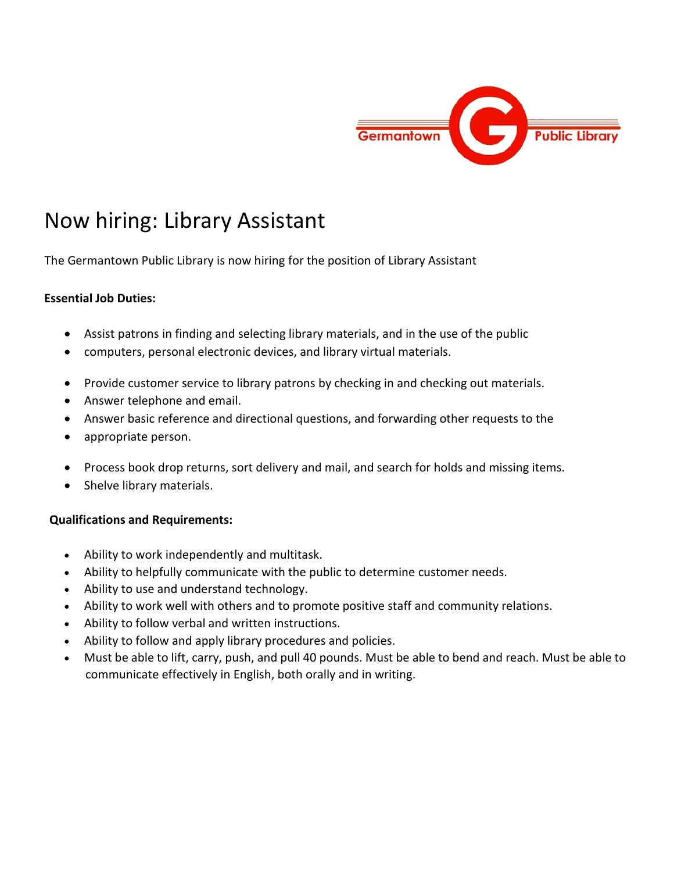

# Now hiring: Library Assistant

The Germantown Public Library is now hiring for the position of Library Assistant

## **Essential Job Duties:**

- Assist patrons in finding and selecting library materials, and in the use of the public
- computers, personal electronic devices, and library virtual materials.
- Provide customer service to library patrons by checking in and checking out materials.
- Answer telephone and email.
- Answer basic reference and directional questions, and forwarding other requests to the
- appropriate person.
- Process book drop returns, sort delivery and mail, and search for holds and missing items.
- Shelve library materials.

## **Qualifications and Requirements:**

- Ability to work independently and multitask.
- Ability to helpfully communicate with the public to determine customer needs.
- Ability to use and understand technology.
- Ability to work well with others and to promote positive staff and community relations.
- Ability to follow verbal and written instructions.
- Ability to follow and apply library procedures and policies.
- Must be able to lift, carry, push, and pull 40 pounds. Must be able to bend and reach. Must be able to communicate effectively in English, both orally and in writing.